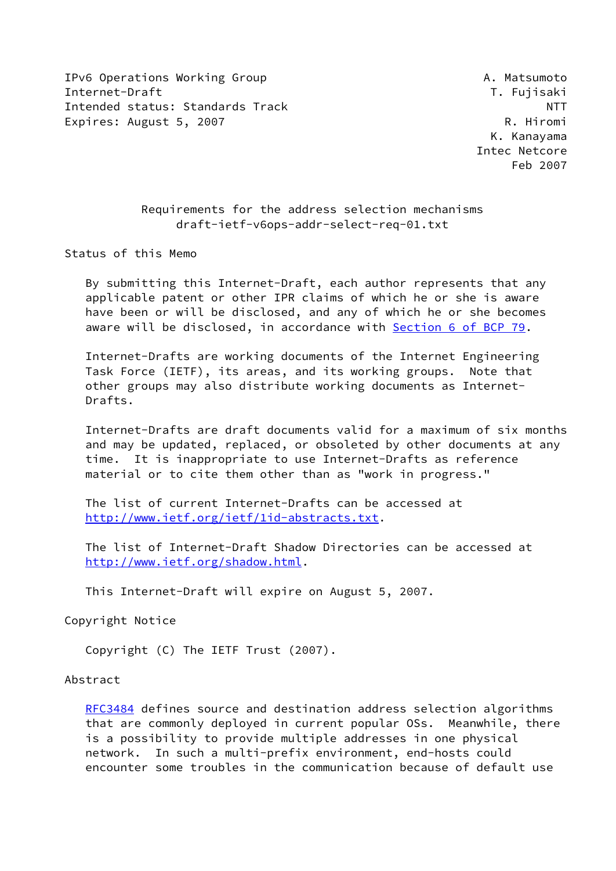IPv6 Operations Working Group **A. Matsumoto** Internet-Draft T. Fujisaki Intended status: Standards Track NTT Expires: August 5, 2007 Canadian Communication and R. Hiromi

 K. Kanayama Intec Netcore Feb 2007

# Requirements for the address selection mechanisms draft-ietf-v6ops-addr-select-req-01.txt

Status of this Memo

 By submitting this Internet-Draft, each author represents that any applicable patent or other IPR claims of which he or she is aware have been or will be disclosed, and any of which he or she becomes aware will be disclosed, in accordance with Section [6 of BCP 79.](https://datatracker.ietf.org/doc/pdf/bcp79#section-6)

 Internet-Drafts are working documents of the Internet Engineering Task Force (IETF), its areas, and its working groups. Note that other groups may also distribute working documents as Internet- Drafts.

 Internet-Drafts are draft documents valid for a maximum of six months and may be updated, replaced, or obsoleted by other documents at any time. It is inappropriate to use Internet-Drafts as reference material or to cite them other than as "work in progress."

 The list of current Internet-Drafts can be accessed at <http://www.ietf.org/ietf/1id-abstracts.txt>.

 The list of Internet-Draft Shadow Directories can be accessed at <http://www.ietf.org/shadow.html>.

This Internet-Draft will expire on August 5, 2007.

Copyright Notice

Copyright (C) The IETF Trust (2007).

### Abstract

 [RFC3484](https://datatracker.ietf.org/doc/pdf/rfc3484) defines source and destination address selection algorithms that are commonly deployed in current popular OSs. Meanwhile, there is a possibility to provide multiple addresses in one physical network. In such a multi-prefix environment, end-hosts could encounter some troubles in the communication because of default use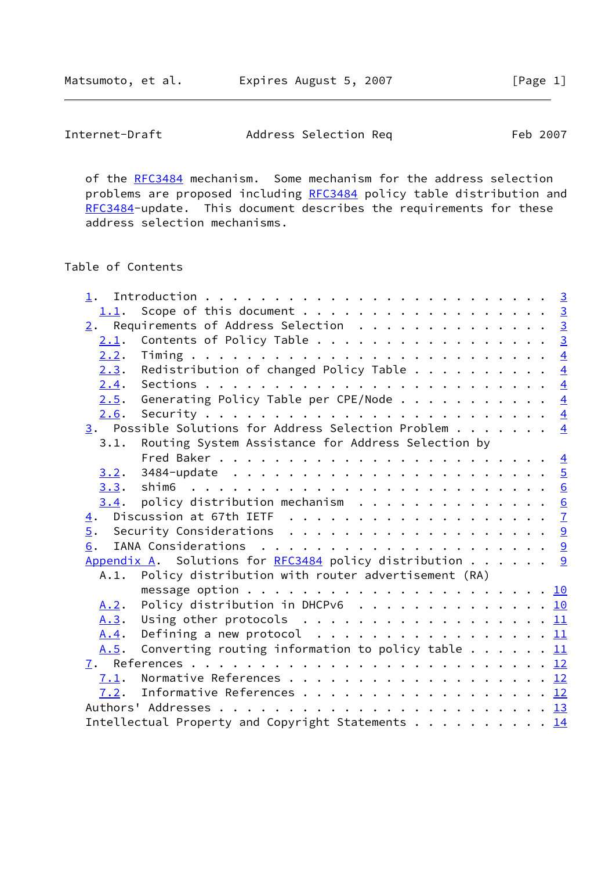Matsumoto, et al. **Expires August 5, 2007** [Page 1]

| Internet-Draft | Address Selection Req | Feb 2007 |
|----------------|-----------------------|----------|
|----------------|-----------------------|----------|

of the [RFC3484](https://datatracker.ietf.org/doc/pdf/rfc3484) mechanism. Some mechanism for the address selection problems are proposed including [RFC3484](https://datatracker.ietf.org/doc/pdf/rfc3484) policy table distribution and [RFC3484](https://datatracker.ietf.org/doc/pdf/rfc3484)-update. This document describes the requirements for these address selection mechanisms.

# Table of Contents

| 1.1.             | Scope of this document 3                                                          |  |  |  |
|------------------|-----------------------------------------------------------------------------------|--|--|--|
|                  | $\underline{2}$ . Requirements of Address Selection 3                             |  |  |  |
| 2.1.             | Contents of Policy Table 3                                                        |  |  |  |
| 2.2.             |                                                                                   |  |  |  |
|                  | 2.3. Redistribution of changed Policy Table $\frac{4}{5}$                         |  |  |  |
| 2.4.             |                                                                                   |  |  |  |
| 2.5.             | Generating Policy Table per CPE/Node $\frac{4}{5}$                                |  |  |  |
| 2.6.             |                                                                                   |  |  |  |
|                  | 3. Possible Solutions for Address Selection Problem $\frac{4}{5}$                 |  |  |  |
| 3.1.             | Routing System Assistance for Address Selection by                                |  |  |  |
|                  |                                                                                   |  |  |  |
| 3.2.             | 3484-update $\ldots \ldots \ldots \ldots \ldots \ldots \ldots \ldots \frac{5}{2}$ |  |  |  |
|                  |                                                                                   |  |  |  |
| 3.4.             | policy distribution mechanism $\ldots \ldots \ldots \ldots \ldots$                |  |  |  |
| $\overline{4}$ . | Discussion at 67th IETF $\dots \dots \dots \dots \dots \dots \dots \dots$         |  |  |  |
|                  |                                                                                   |  |  |  |
| 6.               |                                                                                   |  |  |  |
|                  | Appendix A. Solutions for RFC3484 policy distribution 9                           |  |  |  |
|                  | A.1. Policy distribution with router advertisement (RA)                           |  |  |  |
|                  |                                                                                   |  |  |  |
| A.2.             | Policy distribution in DHCPv6 10                                                  |  |  |  |
| A.3.             | Using other protocols $\ldots \ldots \ldots \ldots \ldots \ldots \underline{11}$  |  |  |  |
| A.4.             |                                                                                   |  |  |  |
| A.5.             | Converting routing information to policy table $\underline{11}$                   |  |  |  |
|                  |                                                                                   |  |  |  |
| 7.1.             |                                                                                   |  |  |  |
|                  | 7.2. Informative References 12                                                    |  |  |  |
|                  |                                                                                   |  |  |  |
|                  | Intellectual Property and Copyright Statements 14                                 |  |  |  |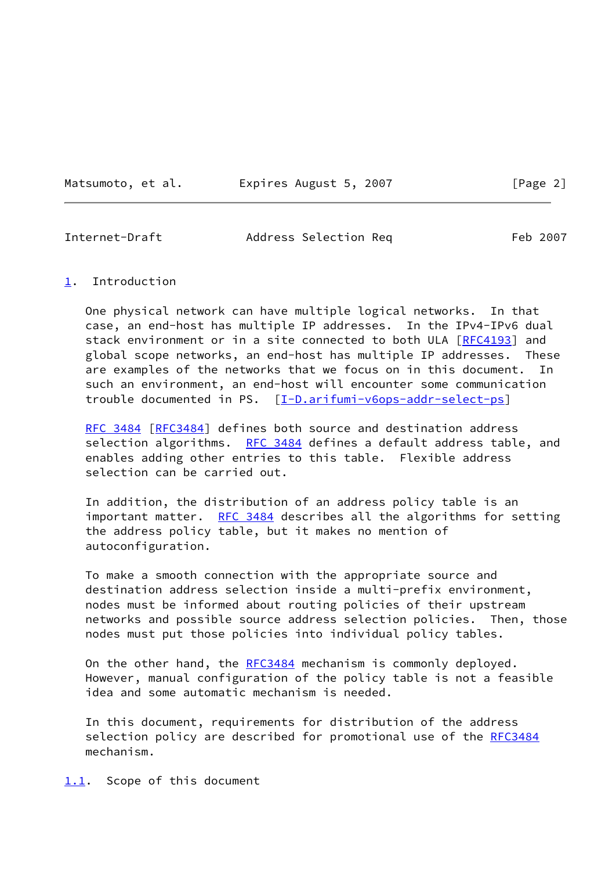Matsumoto, et al. Expires August 5, 2007 [Page 2]

<span id="page-2-1"></span>Internet-Draft Address Selection Req Feb 2007

#### <span id="page-2-0"></span>[1](#page-2-0). Introduction

 One physical network can have multiple logical networks. In that case, an end-host has multiple IP addresses. In the IPv4-IPv6 dual stack environment or in a site connected to both ULA [\[RFC4193](https://datatracker.ietf.org/doc/pdf/rfc4193)] and global scope networks, an end-host has multiple IP addresses. These are examples of the networks that we focus on in this document. In such an environment, an end-host will encounter some communication trouble documented in PS. [[I-D.arifumi-v6ops-addr-select-ps\]](#page-12-5)

[RFC 3484](https://datatracker.ietf.org/doc/pdf/rfc3484) [\[RFC3484](https://datatracker.ietf.org/doc/pdf/rfc3484)] defines both source and destination address selection algorithms. [RFC 3484](https://datatracker.ietf.org/doc/pdf/rfc3484) defines a default address table, and enables adding other entries to this table. Flexible address selection can be carried out.

 In addition, the distribution of an address policy table is an important matter. [RFC 3484](https://datatracker.ietf.org/doc/pdf/rfc3484) describes all the algorithms for setting the address policy table, but it makes no mention of autoconfiguration.

 To make a smooth connection with the appropriate source and destination address selection inside a multi-prefix environment, nodes must be informed about routing policies of their upstream networks and possible source address selection policies. Then, those nodes must put those policies into individual policy tables.

On the other hand, the [RFC3484](https://datatracker.ietf.org/doc/pdf/rfc3484) mechanism is commonly deployed. However, manual configuration of the policy table is not a feasible idea and some automatic mechanism is needed.

 In this document, requirements for distribution of the address selection policy are described for promotional use of the [RFC3484](https://datatracker.ietf.org/doc/pdf/rfc3484) mechanism.

<span id="page-2-2"></span>[1.1](#page-2-2). Scope of this document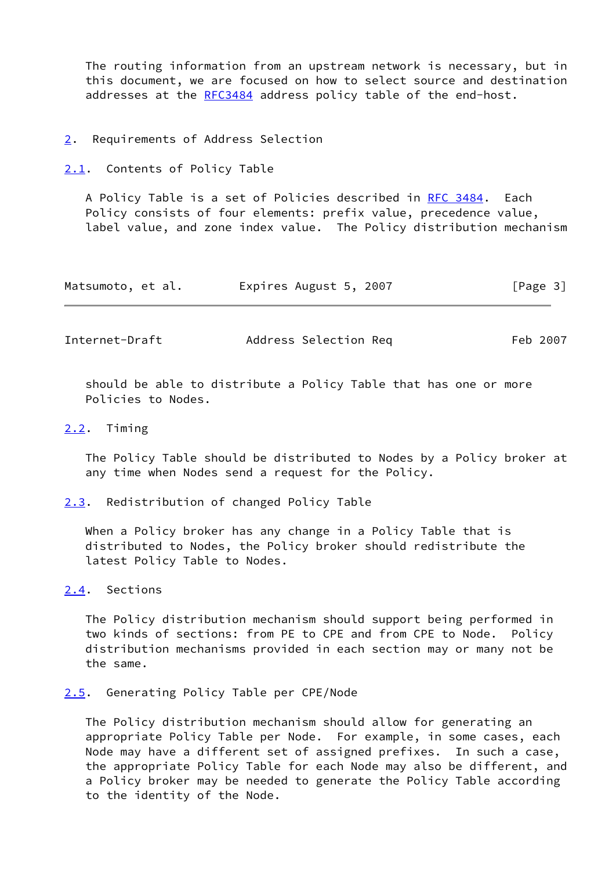The routing information from an upstream network is necessary, but in this document, we are focused on how to select source and destination addresses at the [RFC3484](https://datatracker.ietf.org/doc/pdf/rfc3484) address policy table of the end-host.

- <span id="page-3-0"></span>[2](#page-3-0). Requirements of Address Selection
- <span id="page-3-1"></span>[2.1](#page-3-1). Contents of Policy Table

A Policy Table is a set of Policies described in [RFC 3484](https://datatracker.ietf.org/doc/pdf/rfc3484). Each Policy consists of four elements: prefix value, precedence value, label value, and zone index value. The Policy distribution mechanism

| Expires August 5, 2007<br>Matsumoto, et al. | [Page 3] |
|---------------------------------------------|----------|
|---------------------------------------------|----------|

<span id="page-3-3"></span>Internet-Draft Address Selection Req Feb 2007

 should be able to distribute a Policy Table that has one or more Policies to Nodes.

#### <span id="page-3-2"></span>[2.2](#page-3-2). Timing

 The Policy Table should be distributed to Nodes by a Policy broker at any time when Nodes send a request for the Policy.

<span id="page-3-4"></span>[2.3](#page-3-4). Redistribution of changed Policy Table

 When a Policy broker has any change in a Policy Table that is distributed to Nodes, the Policy broker should redistribute the latest Policy Table to Nodes.

<span id="page-3-5"></span>[2.4](#page-3-5). Sections

 The Policy distribution mechanism should support being performed in two kinds of sections: from PE to CPE and from CPE to Node. Policy distribution mechanisms provided in each section may or many not be the same.

#### <span id="page-3-6"></span>[2.5](#page-3-6). Generating Policy Table per CPE/Node

 The Policy distribution mechanism should allow for generating an appropriate Policy Table per Node. For example, in some cases, each Node may have a different set of assigned prefixes. In such a case, the appropriate Policy Table for each Node may also be different, and a Policy broker may be needed to generate the Policy Table according to the identity of the Node.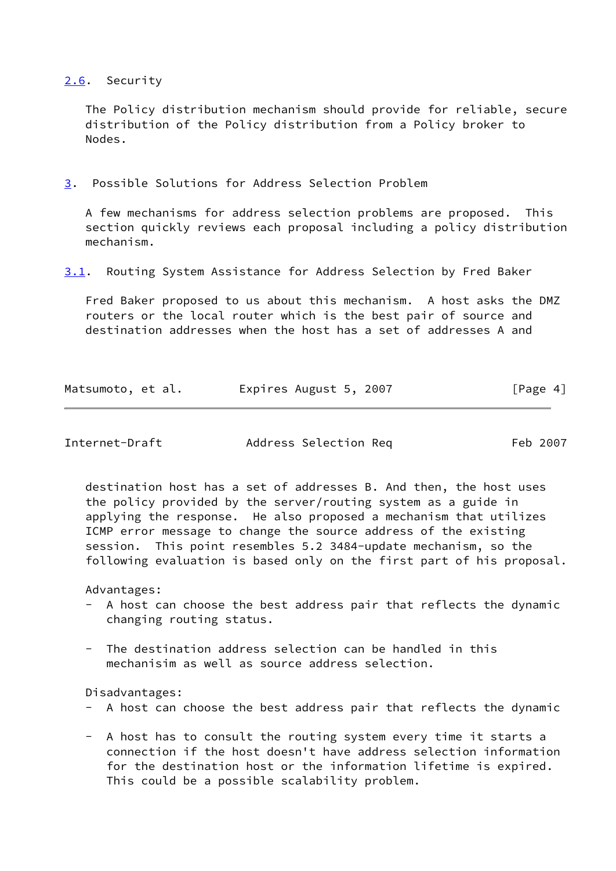### <span id="page-4-0"></span>[2.6](#page-4-0). Security

 The Policy distribution mechanism should provide for reliable, secure distribution of the Policy distribution from a Policy broker to Nodes.

<span id="page-4-1"></span>[3](#page-4-1). Possible Solutions for Address Selection Problem

 A few mechanisms for address selection problems are proposed. This section quickly reviews each proposal including a policy distribution mechanism.

<span id="page-4-3"></span>[3.1](#page-4-3). Routing System Assistance for Address Selection by Fred Baker

 Fred Baker proposed to us about this mechanism. A host asks the DMZ routers or the local router which is the best pair of source and destination addresses when the host has a set of addresses A and

| Matsumoto, et al. | Expires August 5, 2007 | [Page 4] |
|-------------------|------------------------|----------|
|                   |                        |          |

<span id="page-4-2"></span>

| Internet-Draft |  |
|----------------|--|
|----------------|--|

Address Selection Req Feb 2007

 destination host has a set of addresses B. And then, the host uses the policy provided by the server/routing system as a guide in applying the response. He also proposed a mechanism that utilizes ICMP error message to change the source address of the existing session. This point resembles 5.2 3484-update mechanism, so the following evaluation is based only on the first part of his proposal.

Advantages:

- A host can choose the best address pair that reflects the dynamic changing routing status.
- The destination address selection can be handled in this mechanisim as well as source address selection.

#### Disadvantages:

- A host can choose the best address pair that reflects the dynamic
- A host has to consult the routing system every time it starts a connection if the host doesn't have address selection information for the destination host or the information lifetime is expired. This could be a possible scalability problem.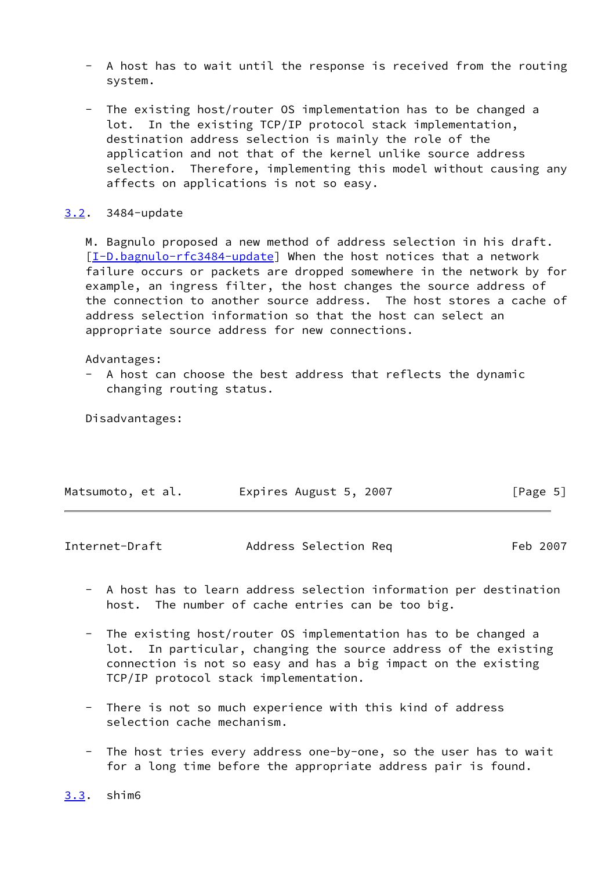- A host has to wait until the response is received from the routing system.
- The existing host/router OS implementation has to be changed a lot. In the existing TCP/IP protocol stack implementation, destination address selection is mainly the role of the application and not that of the kernel unlike source address selection. Therefore, implementing this model without causing any affects on applications is not so easy.

### <span id="page-5-0"></span>[3.2](#page-5-0). 3484-update

 M. Bagnulo proposed a new method of address selection in his draft. [\[I-D.bagnulo-rfc3484-update\]](#page-12-6) When the host notices that a network failure occurs or packets are dropped somewhere in the network by for example, an ingress filter, the host changes the source address of the connection to another source address. The host stores a cache of address selection information so that the host can select an appropriate source address for new connections.

#### Advantages:

 - A host can choose the best address that reflects the dynamic changing routing status.

Disadvantages:

| Matsumoto, et al. | Expires August 5, 2007 |  | [Page 5] |
|-------------------|------------------------|--|----------|
|-------------------|------------------------|--|----------|

<span id="page-5-2"></span>

| Internet-Draft | Address Selection Req | Feb 2007 |
|----------------|-----------------------|----------|
|                |                       |          |

- A host has to learn address selection information per destination host. The number of cache entries can be too big.
- The existing host/router OS implementation has to be changed a lot. In particular, changing the source address of the existing connection is not so easy and has a big impact on the existing TCP/IP protocol stack implementation.
- There is not so much experience with this kind of address selection cache mechanism.
- The host tries every address one-by-one, so the user has to wait for a long time before the appropriate address pair is found.

<span id="page-5-1"></span>[3.3](#page-5-1). shim6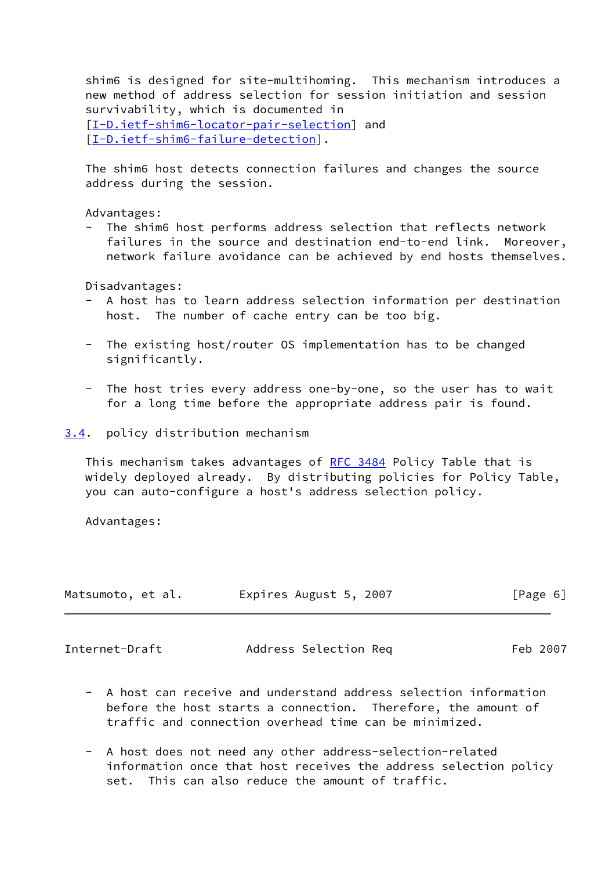shim6 is designed for site-multihoming. This mechanism introduces a new method of address selection for session initiation and session survivability, which is documented in [\[I-D.ietf-shim6-locator-pair-selection](#page-13-1)] and [\[I-D.ietf-shim6-failure-detection](#page-13-2)].

 The shim6 host detects connection failures and changes the source address during the session.

Advantages:

The shim6 host performs address selection that reflects network failures in the source and destination end-to-end link. Moreover, network failure avoidance can be achieved by end hosts themselves.

Disadvantages:

- A host has to learn address selection information per destination host. The number of cache entry can be too big.
- The existing host/router OS implementation has to be changed significantly.
- The host tries every address one-by-one, so the user has to wait for a long time before the appropriate address pair is found.

<span id="page-6-0"></span>[3.4](#page-6-0). policy distribution mechanism

This mechanism takes advantages of [RFC 3484](https://datatracker.ietf.org/doc/pdf/rfc3484) Policy Table that is widely deployed already. By distributing policies for Policy Table, you can auto-configure a host's address selection policy.

Advantages:

| Matsumoto, et al. | Expires August 5, 2007 | [Page 6] |
|-------------------|------------------------|----------|
|                   |                        |          |

<span id="page-6-1"></span>

| Internet-Draft | Address Selection Req | Feb 2007 |
|----------------|-----------------------|----------|
|----------------|-----------------------|----------|

- A host can receive and understand address selection information before the host starts a connection. Therefore, the amount of traffic and connection overhead time can be minimized.
- A host does not need any other address-selection-related information once that host receives the address selection policy set. This can also reduce the amount of traffic.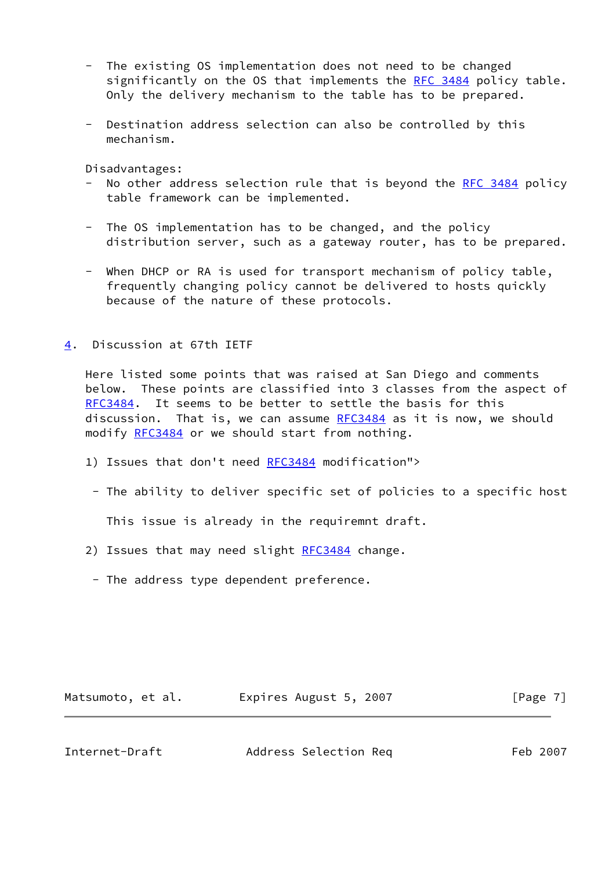- The existing OS implementation does not need to be changed significantly on the OS that implements the [RFC 3484](https://datatracker.ietf.org/doc/pdf/rfc3484) policy table. Only the delivery mechanism to the table has to be prepared.
- Destination address selection can also be controlled by this mechanism.

Disadvantages:

- No other address selection rule that is beyond the [RFC 3484](https://datatracker.ietf.org/doc/pdf/rfc3484) policy table framework can be implemented.
- The OS implementation has to be changed, and the policy distribution server, such as a gateway router, has to be prepared.
- When DHCP or RA is used for transport mechanism of policy table, frequently changing policy cannot be delivered to hosts quickly because of the nature of these protocols.

<span id="page-7-0"></span>[4](#page-7-0). Discussion at 67th IETF

 Here listed some points that was raised at San Diego and comments below. These points are classified into 3 classes from the aspect of [RFC3484](https://datatracker.ietf.org/doc/pdf/rfc3484). It seems to be better to settle the basis for this discussion. That is, we can assume [RFC3484](https://datatracker.ietf.org/doc/pdf/rfc3484) as it is now, we should modify [RFC3484](https://datatracker.ietf.org/doc/pdf/rfc3484) or we should start from nothing.

- 1) Issues that don't need [RFC3484](https://datatracker.ietf.org/doc/pdf/rfc3484) modification">
	- The ability to deliver specific set of policies to a specific host

This issue is already in the requiremnt draft.

- 2) Issues that may need slight [RFC3484](https://datatracker.ietf.org/doc/pdf/rfc3484) change.
	- The address type dependent preference.

Matsumoto, et al. Expires August 5, 2007 [Page 7]

Internet-Draft Address Selection Req Feb 2007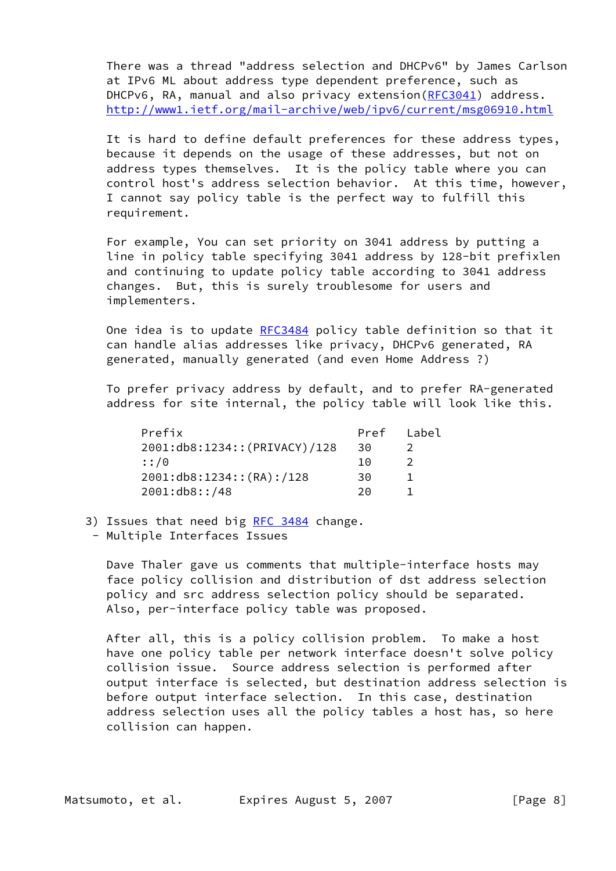There was a thread "address selection and DHCPv6" by James Carlson at IPv6 ML about address type dependent preference, such as DHCPv6, RA, manual and also privacy extension[\(RFC3041](https://datatracker.ietf.org/doc/pdf/rfc3041)) address. <http://www1.ietf.org/mail-archive/web/ipv6/current/msg06910.html>

It is hard to define default preferences for these address types, because it depends on the usage of these addresses, but not on address types themselves. It is the policy table where you can control host's address selection behavior. At this time, however, I cannot say policy table is the perfect way to fulfill this requirement.

 For example, You can set priority on 3041 address by putting a line in policy table specifying 3041 address by 128-bit prefixlen and continuing to update policy table according to 3041 address changes. But, this is surely troublesome for users and implementers.

 One idea is to update [RFC3484](https://datatracker.ietf.org/doc/pdf/rfc3484) policy table definition so that it can handle alias addresses like privacy, DHCPv6 generated, RA generated, manually generated (and even Home Address ?)

 To prefer privacy address by default, and to prefer RA-generated address for site internal, the policy table will look like this.

| Prefix                        | Pref | Label |
|-------------------------------|------|-------|
| 2001:db8:1234:: (PRIVACY)/128 | 30   |       |
| : : /0                        | 1 ດ  |       |
| 2001: db8: 1234:: (RA): /128  | 30   |       |
| 2001: db8::/48                | つの   |       |

- 3) Issues that need big [RFC 3484](https://datatracker.ietf.org/doc/pdf/rfc3484) change.
	- Multiple Interfaces Issues

 Dave Thaler gave us comments that multiple-interface hosts may face policy collision and distribution of dst address selection policy and src address selection policy should be separated. Also, per-interface policy table was proposed.

 After all, this is a policy collision problem. To make a host have one policy table per network interface doesn't solve policy collision issue. Source address selection is performed after output interface is selected, but destination address selection is before output interface selection. In this case, destination address selection uses all the policy tables a host has, so here collision can happen.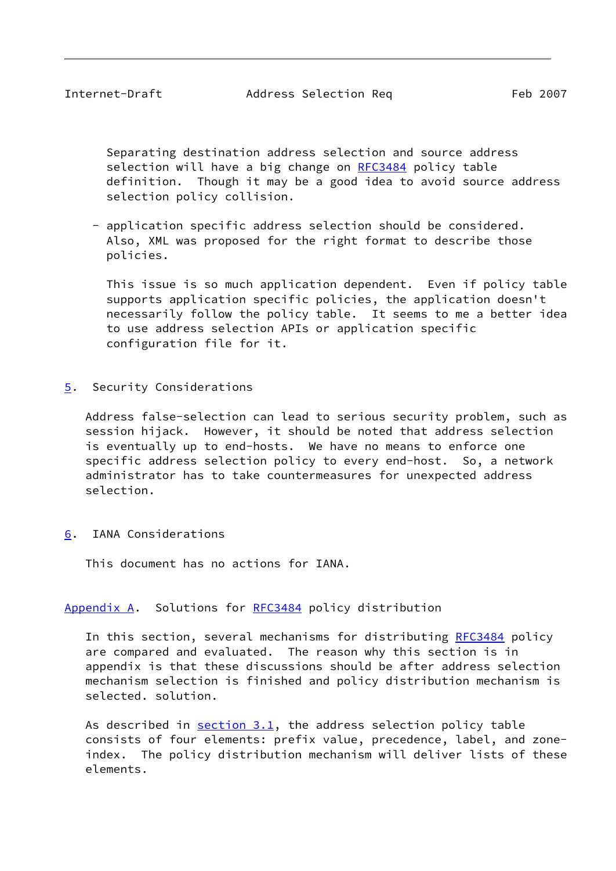<span id="page-9-1"></span> Separating destination address selection and source address selection will have a big change on [RFC3484](https://datatracker.ietf.org/doc/pdf/rfc3484) policy table definition. Though it may be a good idea to avoid source address selection policy collision.

 - application specific address selection should be considered. Also, XML was proposed for the right format to describe those policies.

 This issue is so much application dependent. Even if policy table supports application specific policies, the application doesn't necessarily follow the policy table. It seems to me a better idea to use address selection APIs or application specific configuration file for it.

<span id="page-9-0"></span>[5](#page-9-0). Security Considerations

 Address false-selection can lead to serious security problem, such as session hijack. However, it should be noted that address selection is eventually up to end-hosts. We have no means to enforce one specific address selection policy to every end-host. So, a network administrator has to take countermeasures for unexpected address selection.

<span id="page-9-2"></span>[6](#page-9-2). IANA Considerations

This document has no actions for IANA.

### <span id="page-9-3"></span>[Appendix A.](#page-9-3) Solutions for [RFC3484](https://datatracker.ietf.org/doc/pdf/rfc3484) policy distribution

In this section, several mechanisms for distributing [RFC3484](https://datatracker.ietf.org/doc/pdf/rfc3484) policy are compared and evaluated. The reason why this section is in appendix is that these discussions should be after address selection mechanism selection is finished and policy distribution mechanism is selected. solution.

As described in  $section 3.1$ , the address selection policy table consists of four elements: prefix value, precedence, label, and zone index. The policy distribution mechanism will deliver lists of these elements.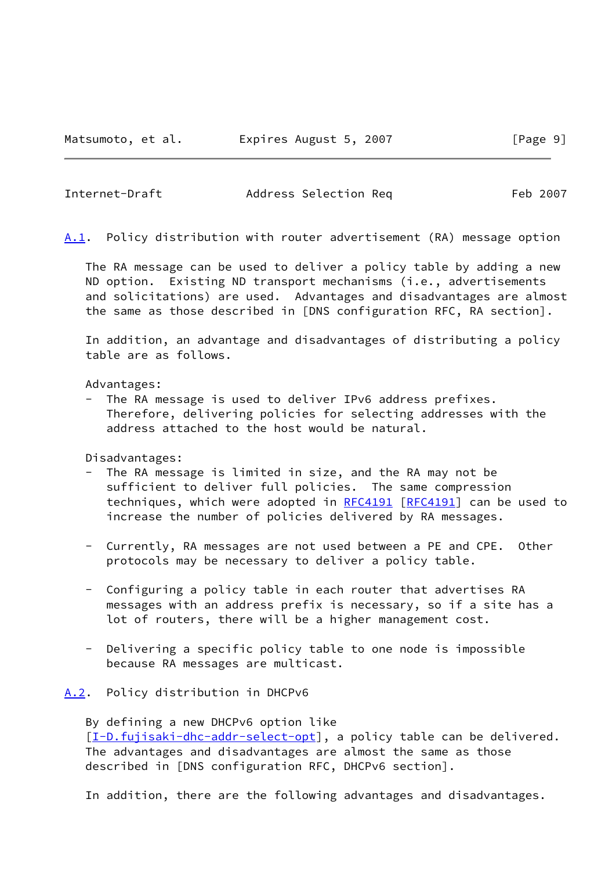<span id="page-10-0"></span>Internet-Draft Address Selection Req Feb 2007

<span id="page-10-2"></span>[A.1](#page-10-2). Policy distribution with router advertisement (RA) message option

 The RA message can be used to deliver a policy table by adding a new ND option. Existing ND transport mechanisms (i.e., advertisements and solicitations) are used. Advantages and disadvantages are almost the same as those described in [DNS configuration RFC, RA section].

 In addition, an advantage and disadvantages of distributing a policy table are as follows.

Advantages:

 - The RA message is used to deliver IPv6 address prefixes. Therefore, delivering policies for selecting addresses with the address attached to the host would be natural.

Disadvantages:

- The RA message is limited in size, and the RA may not be sufficient to deliver full policies. The same compression techniques, which were adopted in [RFC4191](https://datatracker.ietf.org/doc/pdf/rfc4191) [\[RFC4191](https://datatracker.ietf.org/doc/pdf/rfc4191)] can be used to increase the number of policies delivered by RA messages.
- Currently, RA messages are not used between a PE and CPE. Other protocols may be necessary to deliver a policy table.
- Configuring a policy table in each router that advertises RA messages with an address prefix is necessary, so if a site has a lot of routers, there will be a higher management cost.
- Delivering a specific policy table to one node is impossible because RA messages are multicast.

<span id="page-10-1"></span>[A.2](#page-10-1). Policy distribution in DHCPv6

 By defining a new DHCPv6 option like [\[I-D.fujisaki-dhc-addr-select-opt](#page-13-3)], a policy table can be delivered. The advantages and disadvantages are almost the same as those described in [DNS configuration RFC, DHCPv6 section].

In addition, there are the following advantages and disadvantages.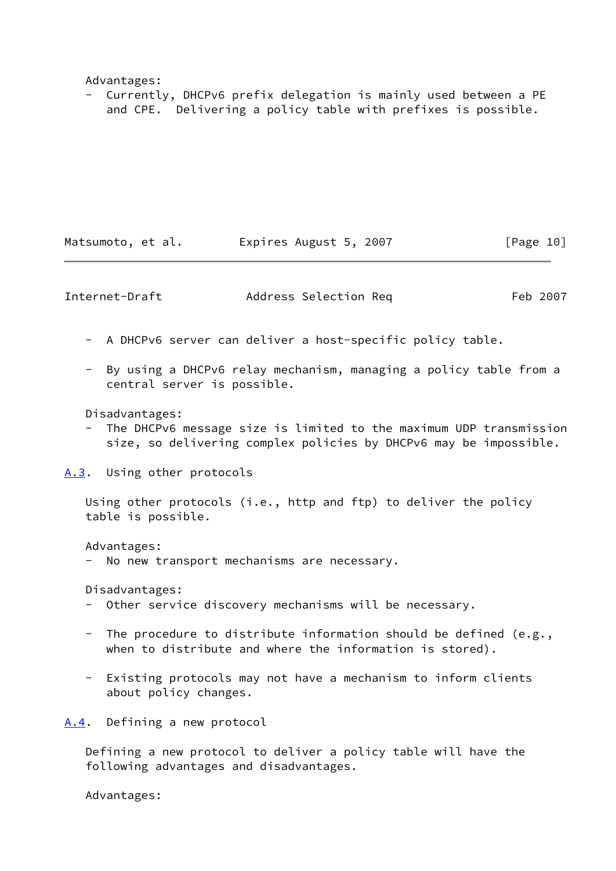Advantages:

 - Currently, DHCPv6 prefix delegation is mainly used between a PE and CPE. Delivering a policy table with prefixes is possible.

Matsumoto, et al. 
Expires August 5, 2007

[Page 10]

<span id="page-11-1"></span>Internet-Draft Address Selection Req Feb 2007

- A DHCPv6 server can deliver a host-specific policy table.
- By using a DHCPv6 relay mechanism, managing a policy table from a central server is possible.

Disadvantages:

The DHCPv6 message size is limited to the maximum UDP transmission size, so delivering complex policies by DHCPv6 may be impossible.

<span id="page-11-0"></span>[A.3](#page-11-0). Using other protocols

 Using other protocols (i.e., http and ftp) to deliver the policy table is possible.

Advantages:

No new transport mechanisms are necessary.

Disadvantages:

- Other service discovery mechanisms will be necessary.
- The procedure to distribute information should be defined (e.g., when to distribute and where the information is stored).
- Existing protocols may not have a mechanism to inform clients about policy changes.

<span id="page-11-2"></span>[A.4](#page-11-2). Defining a new protocol

 Defining a new protocol to deliver a policy table will have the following advantages and disadvantages.

Advantages: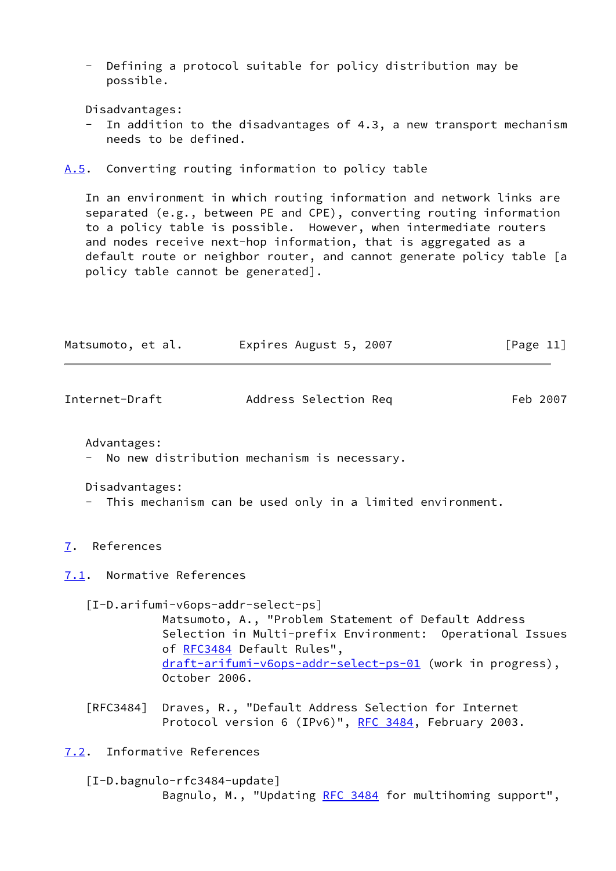- Defining a protocol suitable for policy distribution may be possible.

Disadvantages:

In addition to the disadvantages of 4.3, a new transport mechanism needs to be defined.

<span id="page-12-0"></span>[A.5](#page-12-0). Converting routing information to policy table

 In an environment in which routing information and network links are separated (e.g., between PE and CPE), converting routing information to a policy table is possible. However, when intermediate routers and nodes receive next-hop information, that is aggregated as a default route or neighbor router, and cannot generate policy table [a policy table cannot be generated].

| Matsumoto, et al. | Expires August 5, 2007 | [Page 11] |
|-------------------|------------------------|-----------|
|-------------------|------------------------|-----------|

<span id="page-12-2"></span>

| Internet-Draft | Address Selection Req | Feb 2007 |
|----------------|-----------------------|----------|
|                |                       |          |

Advantages:

No new distribution mechanism is necessary.

Disadvantages:

- This mechanism can be used only in a limited environment.
- <span id="page-12-1"></span>[7](#page-12-1). References

<span id="page-12-3"></span>[7.1](#page-12-3). Normative References

<span id="page-12-5"></span> [I-D.arifumi-v6ops-addr-select-ps] Matsumoto, A., "Problem Statement of Default Address Selection in Multi-prefix Environment: Operational Issues of [RFC3484](https://datatracker.ietf.org/doc/pdf/rfc3484) Default Rules", [draft-arifumi-v6ops-addr-select-ps-01](https://datatracker.ietf.org/doc/pdf/draft-arifumi-v6ops-addr-select-ps-01) (work in progress), October 2006.

 [RFC3484] Draves, R., "Default Address Selection for Internet Protocol version 6 (IPv6)", [RFC 3484,](https://datatracker.ietf.org/doc/pdf/rfc3484) February 2003.

<span id="page-12-4"></span>[7.2](#page-12-4). Informative References

<span id="page-12-6"></span> [I-D.bagnulo-rfc3484-update] Bagnulo, M., "Updating [RFC 3484](https://datatracker.ietf.org/doc/pdf/rfc3484) for multihoming support",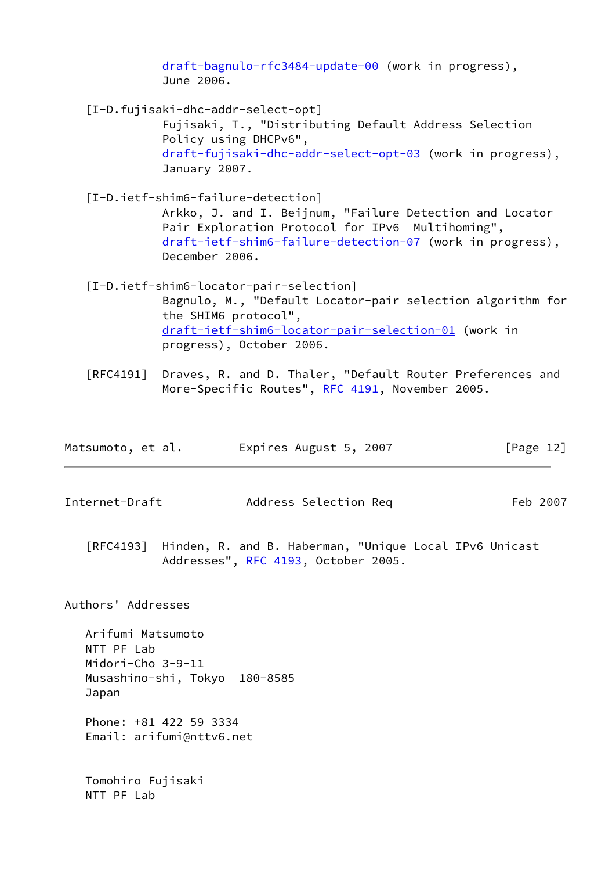[draft-bagnulo-rfc3484-update-00](https://datatracker.ietf.org/doc/pdf/draft-bagnulo-rfc3484-update-00) (work in progress), June 2006.

<span id="page-13-3"></span>[I-D.fujisaki-dhc-addr-select-opt]

 Fujisaki, T., "Distributing Default Address Selection Policy using DHCPv6", [draft-fujisaki-dhc-addr-select-opt-03](https://datatracker.ietf.org/doc/pdf/draft-fujisaki-dhc-addr-select-opt-03) (work in progress), January 2007.

<span id="page-13-2"></span> [I-D.ietf-shim6-failure-detection] Arkko, J. and I. Beijnum, "Failure Detection and Locator Pair Exploration Protocol for IPv6 Multihoming", [draft-ietf-shim6-failure-detection-07](https://datatracker.ietf.org/doc/pdf/draft-ietf-shim6-failure-detection-07) (work in progress),

December 2006.

- <span id="page-13-1"></span> [I-D.ietf-shim6-locator-pair-selection] Bagnulo, M., "Default Locator-pair selection algorithm for the SHIM6 protocol", [draft-ietf-shim6-locator-pair-selection-01](https://datatracker.ietf.org/doc/pdf/draft-ietf-shim6-locator-pair-selection-01) (work in progress), October 2006.
- [RFC4191] Draves, R. and D. Thaler, "Default Router Preferences and More-Specific Routes", [RFC 4191](https://datatracker.ietf.org/doc/pdf/rfc4191), November 2005.

| Matsumoto, et al. | Expires August 5, 2007 | [Page 12] |
|-------------------|------------------------|-----------|
|-------------------|------------------------|-----------|

- <span id="page-13-0"></span>Internet-Draft Address Selection Req Feb 2007
	- [RFC4193] Hinden, R. and B. Haberman, "Unique Local IPv6 Unicast Addresses", [RFC 4193,](https://datatracker.ietf.org/doc/pdf/rfc4193) October 2005.

Authors' Addresses

 Arifumi Matsumoto NTT PF Lab Midori-Cho 3-9-11 Musashino-shi, Tokyo 180-8585 Japan

 Phone: +81 422 59 3334 Email: arifumi@nttv6.net

 Tomohiro Fujisaki NTT PF Lab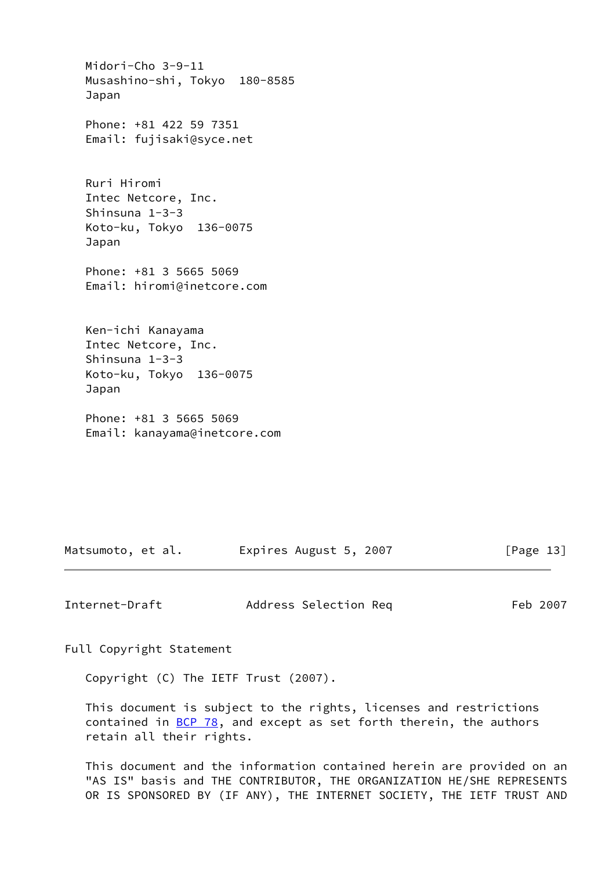Midori-Cho 3-9-11 Musashino-shi, Tokyo 180-8585 Japan Phone: +81 422 59 7351 Email: fujisaki@syce.net Ruri Hiromi Intec Netcore, Inc. Shinsuna 1-3-3 Koto-ku, Tokyo 136-0075 Japan Phone: +81 3 5665 5069 Email: hiromi@inetcore.com Ken-ichi Kanayama Intec Netcore, Inc. Shinsuna 1-3-3 Koto-ku, Tokyo 136-0075 Japan Phone: +81 3 5665 5069

Email: kanayama@inetcore.com

Matsumoto, et al. Expires August 5, 2007 [Page 13]

<span id="page-14-0"></span>Internet-Draft Address Selection Req Feb 2007

Full Copyright Statement

Copyright (C) The IETF Trust (2007).

 This document is subject to the rights, licenses and restrictions contained in  $BCP$  78, and except as set forth therein, the authors retain all their rights.

 This document and the information contained herein are provided on an "AS IS" basis and THE CONTRIBUTOR, THE ORGANIZATION HE/SHE REPRESENTS OR IS SPONSORED BY (IF ANY), THE INTERNET SOCIETY, THE IETF TRUST AND